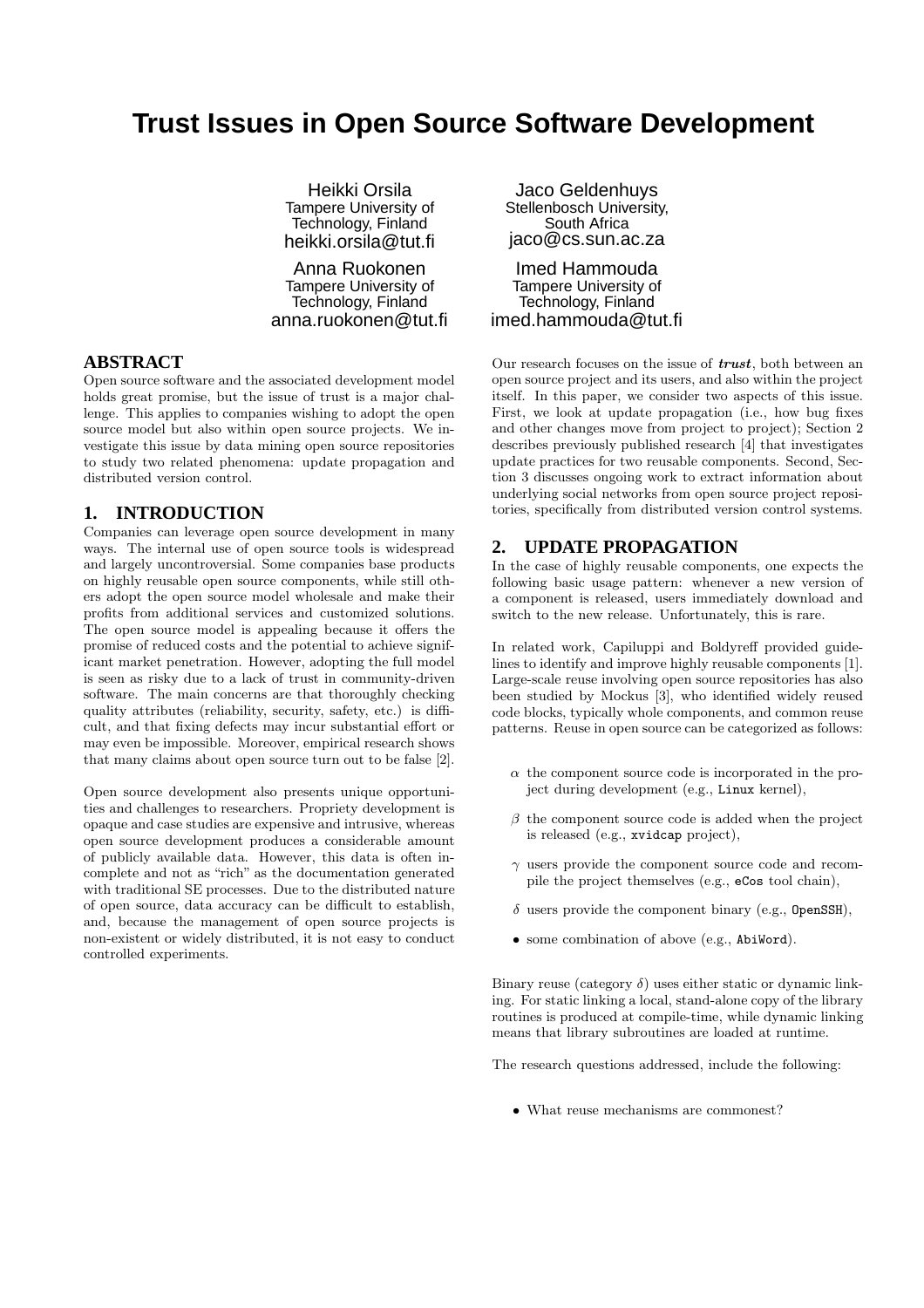# **Trust Issues in Open Source Software Development**

Heikki Orsila Tampere University of Technology, Finland heikki.orsila@tut.fi

Anna Ruokonen Tampere University of Technology, Finland anna.ruokonen@tut.fi

#### **ABSTRACT**

Open source software and the associated development model holds great promise, but the issue of trust is a major challenge. This applies to companies wishing to adopt the open source model but also within open source projects. We investigate this issue by data mining open source repositories to study two related phenomena: update propagation and distributed version control.

## **1. INTRODUCTION**

Companies can leverage open source development in many ways. The internal use of open source tools is widespread and largely uncontroversial. Some companies base products on highly reusable open source components, while still others adopt the open source model wholesale and make their profits from additional services and customized solutions. The open source model is appealing because it offers the promise of reduced costs and the potential to achieve significant market penetration. However, adopting the full model is seen as risky due to a lack of trust in community-driven software. The main concerns are that thoroughly checking quality attributes (reliability, security, safety, etc.) is difficult, and that fixing defects may incur substantial effort or may even be impossible. Moreover, empirical research shows that many claims about open source turn out to be false [2].

Open source development also presents unique opportunities and challenges to researchers. Propriety development is opaque and case studies are expensive and intrusive, whereas open source development produces a considerable amount of publicly available data. However, this data is often incomplete and not as "rich" as the documentation generated with traditional SE processes. Due to the distributed nature of open source, data accuracy can be difficult to establish, and, because the management of open source projects is non-existent or widely distributed, it is not easy to conduct controlled experiments.

Jaco Geldenhuys Stellenbosch University, South Africa jaco@cs.sun.ac.za

Imed Hammouda Tampere University of Technology, Finland imed.hammouda@tut.fi

Our research focuses on the issue of  $trust$ , both between an open source project and its users, and also within the project itself. In this paper, we consider two aspects of this issue. First, we look at update propagation (i.e., how bug fixes and other changes move from project to project); Section 2 describes previously published research [4] that investigates update practices for two reusable components. Second, Section 3 discusses ongoing work to extract information about underlying social networks from open source project repositories, specifically from distributed version control systems.

## **2. UPDATE PROPAGATION**

In the case of highly reusable components, one expects the following basic usage pattern: whenever a new version of a component is released, users immediately download and switch to the new release. Unfortunately, this is rare.

In related work, Capiluppi and Boldyreff provided guidelines to identify and improve highly reusable components [1]. Large-scale reuse involving open source repositories has also been studied by Mockus [3], who identified widely reused code blocks, typically whole components, and common reuse patterns. Reuse in open source can be categorized as follows:

- $\alpha$  the component source code is incorporated in the project during development (e.g., Linux kernel),
- $\beta$  the component source code is added when the project is released (e.g., xvidcap project),
- $\gamma$  users provide the component source code and recompile the project themselves (e.g., eCos tool chain),
- $\delta$  users provide the component binary (e.g., OpenSSH),
- some combination of above (e.g., AbiWord).

Binary reuse (category  $\delta$ ) uses either static or dynamic linking. For static linking a local, stand-alone copy of the library routines is produced at compile-time, while dynamic linking means that library subroutines are loaded at runtime.

The research questions addressed, include the following:

• What reuse mechanisms are commonest?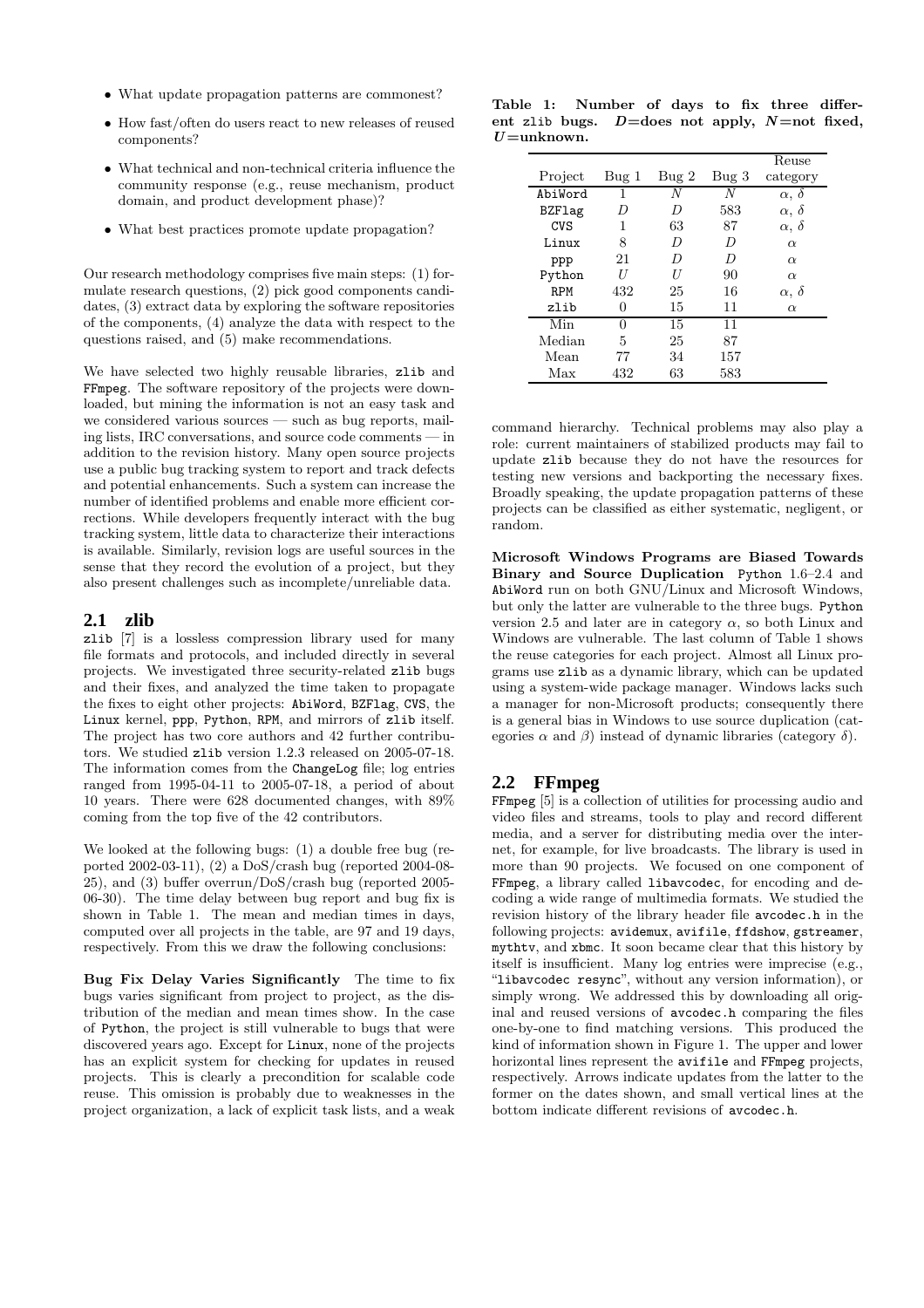- What update propagation patterns are commonest?
- How fast/often do users react to new releases of reused components?
- What technical and non-technical criteria influence the community response (e.g., reuse mechanism, product domain, and product development phase)?
- What best practices promote update propagation?

Our research methodology comprises five main steps: (1) formulate research questions, (2) pick good components candidates, (3) extract data by exploring the software repositories of the components, (4) analyze the data with respect to the questions raised, and (5) make recommendations.

We have selected two highly reusable libraries, zlib and FFmpeg. The software repository of the projects were downloaded, but mining the information is not an easy task and we considered various sources — such as bug reports, mailing lists, IRC conversations, and source code comments — in addition to the revision history. Many open source projects use a public bug tracking system to report and track defects and potential enhancements. Such a system can increase the number of identified problems and enable more efficient corrections. While developers frequently interact with the bug tracking system, little data to characterize their interactions is available. Similarly, revision logs are useful sources in the sense that they record the evolution of a project, but they also present challenges such as incomplete/unreliable data.

#### **2.1 zlib**

zlib [7] is a lossless compression library used for many file formats and protocols, and included directly in several projects. We investigated three security-related zlib bugs and their fixes, and analyzed the time taken to propagate the fixes to eight other projects: AbiWord, BZFlag, CVS, the Linux kernel, ppp, Python, RPM, and mirrors of zlib itself. The project has two core authors and 42 further contributors. We studied zlib version 1.2.3 released on 2005-07-18. The information comes from the ChangeLog file; log entries ranged from 1995-04-11 to 2005-07-18, a period of about 10 years. There were 628 documented changes, with 89% coming from the top five of the 42 contributors.

We looked at the following bugs: (1) a double free bug (reported 2002-03-11), (2) a DoS/crash bug (reported 2004-08- 25), and (3) buffer overrun/DoS/crash bug (reported 2005- 06-30). The time delay between bug report and bug fix is shown in Table 1. The mean and median times in days, computed over all projects in the table, are 97 and 19 days, respectively. From this we draw the following conclusions:

Bug Fix Delay Varies Significantly The time to fix bugs varies significant from project to project, as the distribution of the median and mean times show. In the case of Python, the project is still vulnerable to bugs that were discovered years ago. Except for Linux, none of the projects has an explicit system for checking for updates in reused projects. This is clearly a precondition for scalable code reuse. This omission is probably due to weaknesses in the project organization, a lack of explicit task lists, and a weak

Table 1: Number of days to fix three different zlib bugs.  $D =$ does not apply,  $N =$ not fixed,  $U =$ unknown.

|            |              |      |       | Reuse               |
|------------|--------------|------|-------|---------------------|
| Project    | Bug 1        | Bug2 | Bug 3 | category            |
| AbiWord    | 1            | N    | N     | $\alpha, \delta$    |
| BZFlag     | D            | D    | 583   | $\alpha, \delta$    |
| CVS        | 1            | 63   | 87    | $\alpha$ , $\delta$ |
| Linux      | 8            | D    | D     | $\alpha$            |
| ppp        | 21           | D    | D     | $\alpha$            |
| Python     | IJ           | U    | 90    | $\alpha$            |
| <b>RPM</b> | 432          | 25   | 16    | $\alpha$ , $\delta$ |
| zlib       |              | 15   | 11    | $\alpha$            |
| Min        | $\mathbf{0}$ | 15   | 11    |                     |
| Median     | 5            | 25   | 87    |                     |
| Mean       | 77           | 34   | 157   |                     |
| Max        | 432          | 63   | 583   |                     |

command hierarchy. Technical problems may also play a role: current maintainers of stabilized products may fail to update zlib because they do not have the resources for testing new versions and backporting the necessary fixes. Broadly speaking, the update propagation patterns of these projects can be classified as either systematic, negligent, or random.

Microsoft Windows Programs are Biased Towards Binary and Source Duplication Python 1.6–2.4 and AbiWord run on both GNU/Linux and Microsoft Windows, but only the latter are vulnerable to the three bugs. Python version 2.5 and later are in category  $\alpha$ , so both Linux and Windows are vulnerable. The last column of Table 1 shows the reuse categories for each project. Almost all Linux programs use zlib as a dynamic library, which can be updated using a system-wide package manager. Windows lacks such a manager for non-Microsoft products; consequently there is a general bias in Windows to use source duplication (categories  $\alpha$  and  $\beta$ ) instead of dynamic libraries (category δ).

## **2.2 FFmpeg**

FFmpeg [5] is a collection of utilities for processing audio and video files and streams, tools to play and record different media, and a server for distributing media over the internet, for example, for live broadcasts. The library is used in more than 90 projects. We focused on one component of FFmpeg, a library called libavcodec, for encoding and decoding a wide range of multimedia formats. We studied the revision history of the library header file avcodec.h in the following projects: avidemux, avifile, ffdshow, gstreamer, mythtv, and xbmc. It soon became clear that this history by itself is insufficient. Many log entries were imprecise (e.g., "libavcodec resync", without any version information), or simply wrong. We addressed this by downloading all original and reused versions of avcodec.h comparing the files one-by-one to find matching versions. This produced the kind of information shown in Figure 1. The upper and lower horizontal lines represent the avifile and FFmpeg projects, respectively. Arrows indicate updates from the latter to the former on the dates shown, and small vertical lines at the bottom indicate different revisions of avcodec.h.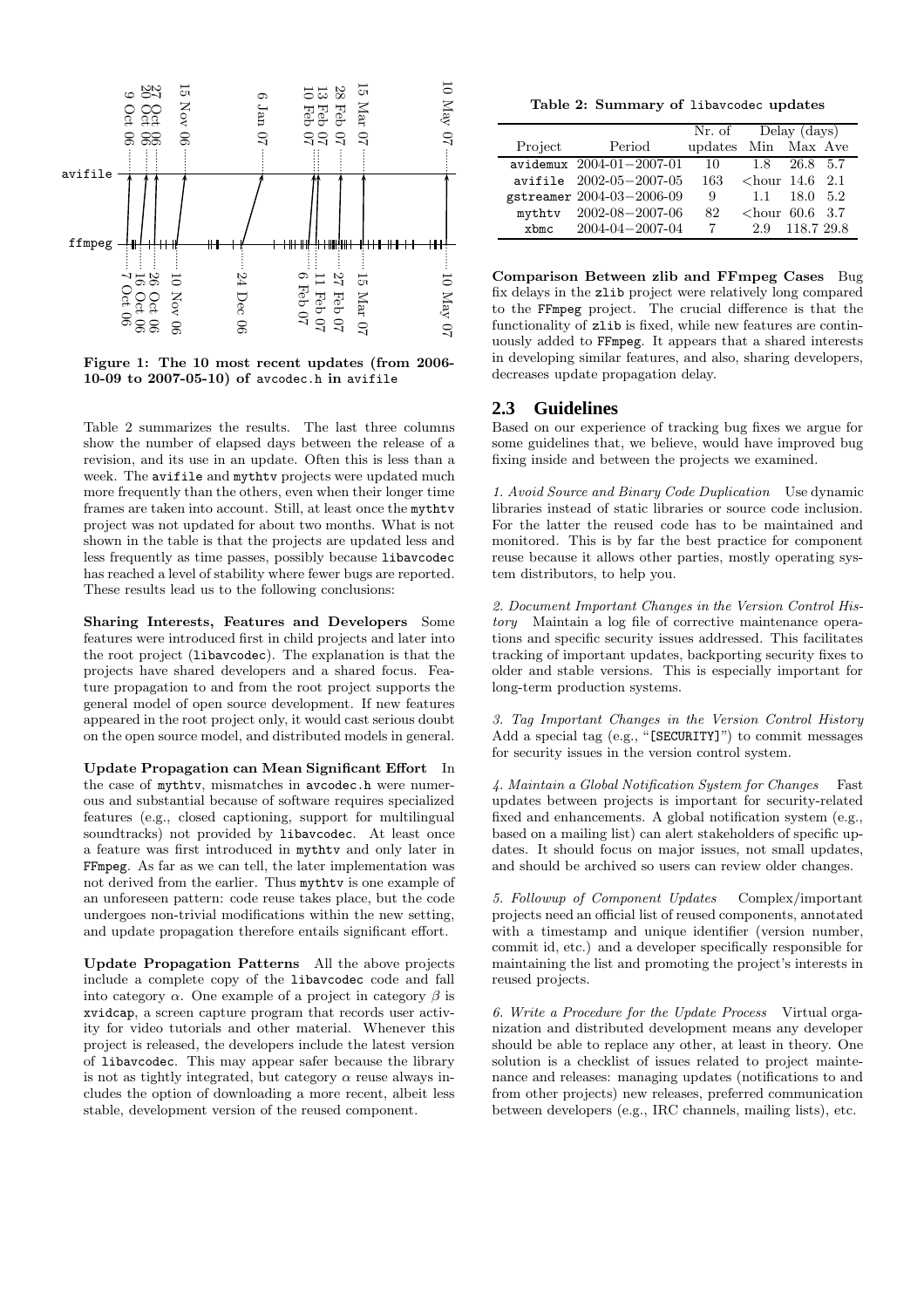

Figure 1: The 10 most recent updates (from 2006- 10-09 to 2007-05-10) of avcodec.h in avifile

Table 2 summarizes the results. The last three columns show the number of elapsed days between the release of a revision, and its use in an update. Often this is less than a week. The avifile and mythtv projects were updated much more frequently than the others, even when their longer time frames are taken into account. Still, at least once the mythtv project was not updated for about two months. What is not shown in the table is that the projects are updated less and less frequently as time passes, possibly because libavcodec has reached a level of stability where fewer bugs are reported. These results lead us to the following conclusions:

Sharing Interests, Features and Developers Some features were introduced first in child projects and later into the root project (libavcodec). The explanation is that the projects have shared developers and a shared focus. Feature propagation to and from the root project supports the general model of open source development. If new features appeared in the root project only, it would cast serious doubt on the open source model, and distributed models in general.

Update Propagation can Mean Significant Effort In the case of mythtv, mismatches in avcodec.h were numerous and substantial because of software requires specialized features (e.g., closed captioning, support for multilingual soundtracks) not provided by libavcodec. At least once a feature was first introduced in mythtv and only later in FFmpeg. As far as we can tell, the later implementation was not derived from the earlier. Thus mythtv is one example of an unforeseen pattern: code reuse takes place, but the code undergoes non-trivial modifications within the new setting, and update propagation therefore entails significant effort.

Update Propagation Patterns All the above projects include a complete copy of the libavcodec code and fall into category  $\alpha$ . One example of a project in category  $\beta$  is xvidcap, a screen capture program that records user activity for video tutorials and other material. Whenever this project is released, the developers include the latest version of libavcodec. This may appear safer because the library is not as tightly integrated, but category  $\alpha$  reuse always includes the option of downloading a more recent, albeit less stable, development version of the reused component.

Table 2: Summary of libavcodec updates

|                                 |                            | Nr. of | Delay (days)             |                  |
|---------------------------------|----------------------------|--------|--------------------------|------------------|
| Project                         | Period                     |        | updates Min Max Ave      |                  |
|                                 | $avidemux$ 2004-01-2007-01 | 10     | 1.8                      | 26.8 5.7         |
|                                 | $avifile$ 2002-05-2007-05  | 163    | $\epsilon$ hour 14.6 2.1 |                  |
|                                 | gstreamer 2004-03-2006-09  | 9      | 1.1                      | $18.0 \quad 5.2$ |
| mythty                          | $2002 - 08 - 2007 - 06$    | 82     | $\epsilon$ hour 60.6 3.7 |                  |
| $x$ <sub>bm<math>c</math></sub> | $2004 - 04 - 2007 - 04$    |        | 2.9                      | 118.7 29.8       |

Comparison Between zlib and FFmpeg Cases Bug fix delays in the zlib project were relatively long compared to the FFmpeg project. The crucial difference is that the functionality of zlib is fixed, while new features are continuously added to FFmpeg. It appears that a shared interests in developing similar features, and also, sharing developers, decreases update propagation delay.

## **2.3 Guidelines**

Based on our experience of tracking bug fixes we argue for some guidelines that, we believe, would have improved bug fixing inside and between the projects we examined.

1. Avoid Source and Binary Code Duplication Use dynamic libraries instead of static libraries or source code inclusion. For the latter the reused code has to be maintained and monitored. This is by far the best practice for component reuse because it allows other parties, mostly operating system distributors, to help you.

2. Document Important Changes in the Version Control History Maintain a log file of corrective maintenance operations and specific security issues addressed. This facilitates tracking of important updates, backporting security fixes to older and stable versions. This is especially important for long-term production systems.

3. Tag Important Changes in the Version Control History Add a special tag (e.g., "[SECURITY]") to commit messages for security issues in the version control system.

4. Maintain a Global Notification System for Changes Fast updates between projects is important for security-related fixed and enhancements. A global notification system (e.g., based on a mailing list) can alert stakeholders of specific updates. It should focus on major issues, not small updates, and should be archived so users can review older changes.

5. Followup of Component Updates Complex/important projects need an official list of reused components, annotated with a timestamp and unique identifier (version number, commit id, etc.) and a developer specifically responsible for maintaining the list and promoting the project's interests in reused projects.

6. Write a Procedure for the Update Process Virtual organization and distributed development means any developer should be able to replace any other, at least in theory. One solution is a checklist of issues related to project maintenance and releases: managing updates (notifications to and from other projects) new releases, preferred communication between developers (e.g., IRC channels, mailing lists), etc.